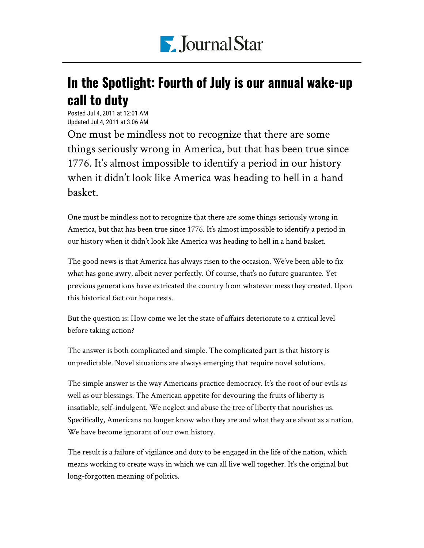

## In the Spotlight: Fourth of July is our annual wake-up call to duty

Posted Jul 4, 2011 at 12:01 AM Updated Jul 4, 2011 at 3:06 AM

One must be mindless not to recognize that there are some things seriously wrong in America, but that has been true since 1776. It's almost impossible to identify a period in our history when it didn't look like America was heading to hell in a hand basket.

One must be mindless not to recognize that there are some things seriously wrong in America, but that has been true since 1776. It's almost impossible to identify a period in our history when it didn't look like America was heading to hell in a hand basket.

The good news is that America has always risen to the occasion. We've been able to fix what has gone awry, albeit never perfectly. Of course, that's no future guarantee. Yet previous generations have extricated the country from whatever mess they created. Upon this historical fact our hope rests.

But the question is: How come we let the state of affairs deteriorate to a critical level before taking action?

The answer is both complicated and simple. The complicated part is that history is unpredictable. Novel situations are always emerging that require novel solutions.

The simple answer is the way Americans practice democracy. It's the root of our evils as well as our blessings. The American appetite for devouring the fruits of liberty is insatiable, self-indulgent. We neglect and abuse the tree of liberty that nourishes us. Specifically, Americans no longer know who they are and what they are about as a nation. We have become ignorant of our own history.

The result is a failure of vigilance and duty to be engaged in the life of the nation, which means working to create ways in which we can all live well together. It's the original but long-forgotten meaning of politics.